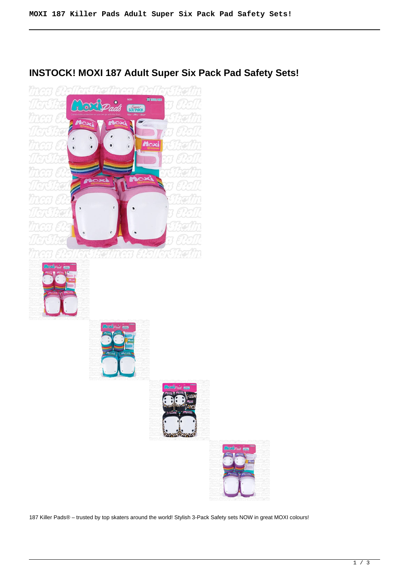# **INSTOCK! MOXI 187 Adult Super Six Pack Pad Safety Sets!**



187 Killer Pads® – trusted by top skaters around the world! Stylish 3-Pack Safety sets NOW in great MOXI colours!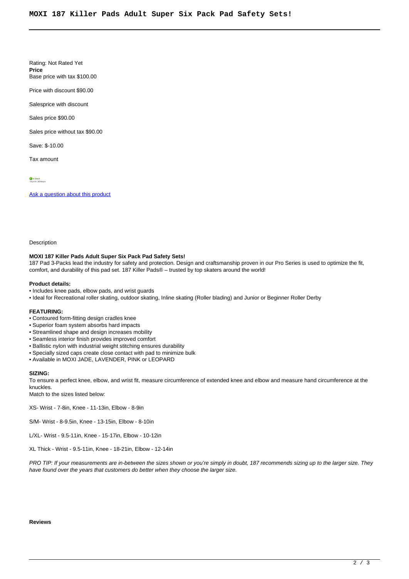Rating: Not Rated Yet **Price**  Base price with tax \$100.00

Price with discount \$90.00

Salesprice with discount

Sales price \$90.00

Sales price without tax \$90.00

Save: \$-10.00

Tax amount

 $\frac{1}{\sqrt{2}}$  In Stock

[Ask a question about this product](https://rollerskatin.ca/index.php?option=com_virtuemart&view=productdetails&task=askquestion&virtuemart_product_id=1115&virtuemart_category_id=40&tmpl=component)

Description

#### **MOXI 187 Killer Pads Adult Super Six Pack Pad Safety Sets!**

187 Pad 3-Packs lead the industry for safety and protection. Design and craftsmanship proven in our Pro Series is used to optimize the fit, comfort, and durability of this pad set. 187 Killer Pads® – trusted by top skaters around the world!

#### **Product details:**

- Includes knee pads, elbow pads, and wrist guards
- Ideal for Recreational roller skating, outdoor skating, Inline skating (Roller blading) and Junior or Beginner Roller Derby

## **FEATURING:**

- Contoured form-fitting design cradles knee
- Superior foam system absorbs hard impacts
- Streamlined shape and design increases mobility
- Seamless interior finish provides improved comfort
- Ballistic nylon with industrial weight stitching ensures durability
- Specially sized caps create close contact with pad to minimize bulk
- Available in MOXI JADE, LAVENDER, PINK or LEOPARD

### **SIZING:**

To ensure a perfect knee, elbow, and wrist fit, measure circumference of extended knee and elbow and measure hand circumference at the knuckles.

Match to the sizes listed below:

XS- Wrist - 7-8in, Knee - 11-13in, Elbow - 8-9in

S/M- Wrist - 8-9.5in, Knee - 13-15in, Elbow - 8-10in

L/XL- Wrist - 9.5-11in, Knee - 15-17in, Elbow - 10-12in

XL Thick - Wrist - 9.5-11in, Knee - 18-21in, Elbow - 12-14in

PRO TIP: If your measurements are in-between the sizes shown or you're simply in doubt, 187 recommends sizing up to the larger size. They have found over the years that customers do better when they choose the larger size.

**Reviews**